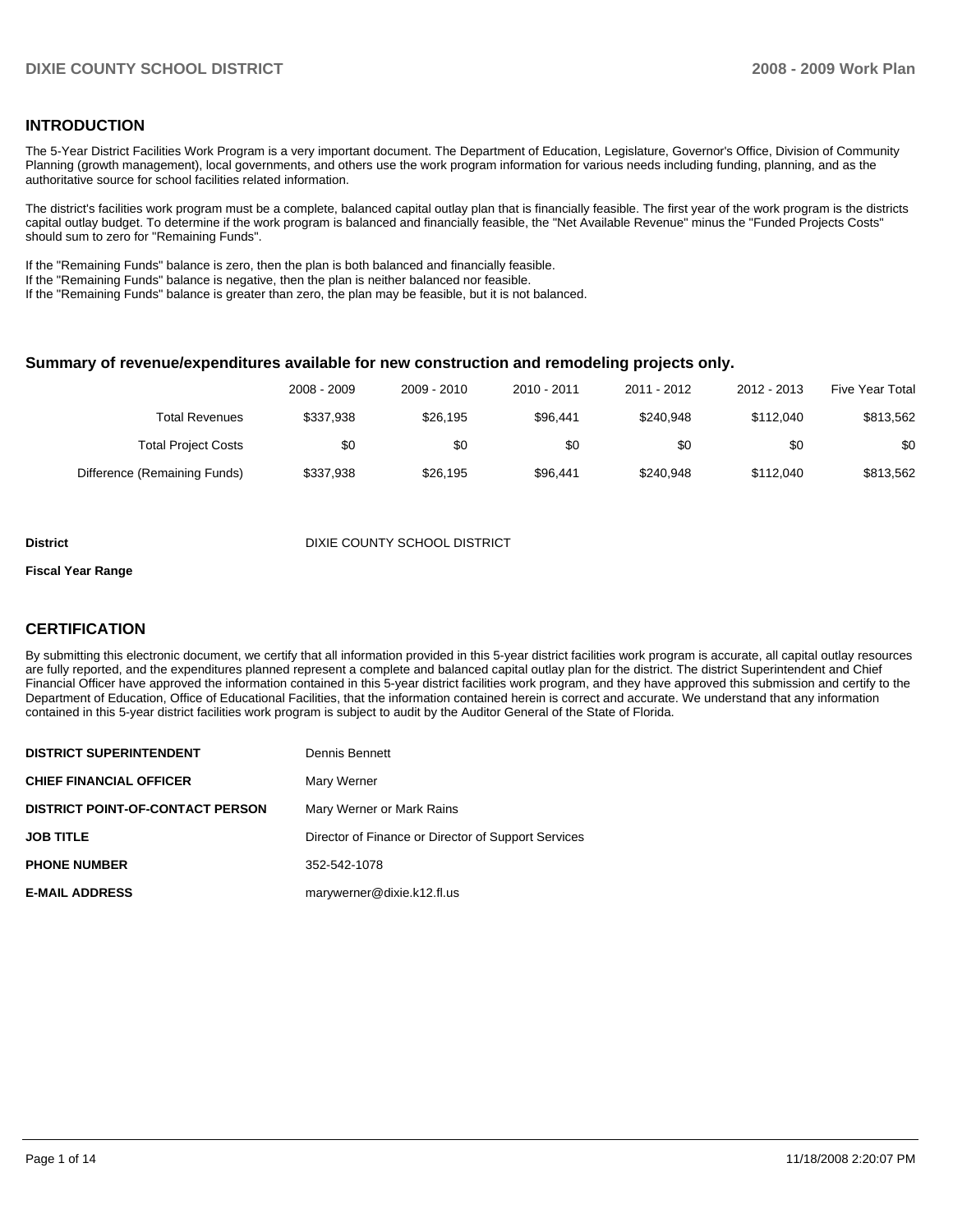## **INTRODUCTION**

The 5-Year District Facilities Work Program is a very important document. The Department of Education, Legislature, Governor's Office, Division of Community Planning (growth management), local governments, and others use the work program information for various needs including funding, planning, and as the authoritative source for school facilities related information.

The district's facilities work program must be a complete, balanced capital outlay plan that is financially feasible. The first year of the work program is the districts capital outlay budget. To determine if the work program is balanced and financially feasible, the "Net Available Revenue" minus the "Funded Projects Costs" should sum to zero for "Remaining Funds".

If the "Remaining Funds" balance is zero, then the plan is both balanced and financially feasible.

If the "Remaining Funds" balance is negative, then the plan is neither balanced nor feasible.

If the "Remaining Funds" balance is greater than zero, the plan may be feasible, but it is not balanced.

#### **Summary of revenue/expenditures available for new construction and remodeling projects only.**

| Five Year Total | 2012 - 2013 | 2011 - 2012 | 2010 - 2011 | 2009 - 2010 | 2008 - 2009 |                              |
|-----------------|-------------|-------------|-------------|-------------|-------------|------------------------------|
| \$813,562       | \$112.040   | \$240.948   | \$96.441    | \$26.195    | \$337.938   | Total Revenues               |
| \$0             | \$0         | \$0         | \$0         | \$0         | \$0         | <b>Total Project Costs</b>   |
| \$813,562       | \$112.040   | \$240.948   | \$96.441    | \$26.195    | \$337,938   | Difference (Remaining Funds) |

#### **District COUNTY SCHOOL DISTRICT DIXIE COUNTY SCHOOL DISTRICT**

#### **Fiscal Year Range**

#### **CERTIFICATION**

By submitting this electronic document, we certify that all information provided in this 5-year district facilities work program is accurate, all capital outlay resources are fully reported, and the expenditures planned represent a complete and balanced capital outlay plan for the district. The district Superintendent and Chief Financial Officer have approved the information contained in this 5-year district facilities work program, and they have approved this submission and certify to the Department of Education, Office of Educational Facilities, that the information contained herein is correct and accurate. We understand that any information contained in this 5-year district facilities work program is subject to audit by the Auditor General of the State of Florida.

| <b>DISTRICT SUPERINTENDENT</b>          | Dennis Bennett                                      |
|-----------------------------------------|-----------------------------------------------------|
| <b>CHIEF FINANCIAL OFFICER</b>          | Mary Werner                                         |
| <b>DISTRICT POINT-OF-CONTACT PERSON</b> | Mary Werner or Mark Rains                           |
| <b>JOB TITLE</b>                        | Director of Finance or Director of Support Services |
| <b>PHONE NUMBER</b>                     | 352-542-1078                                        |
| <b>E-MAIL ADDRESS</b>                   | marywerner@dixie.k12.fl.us                          |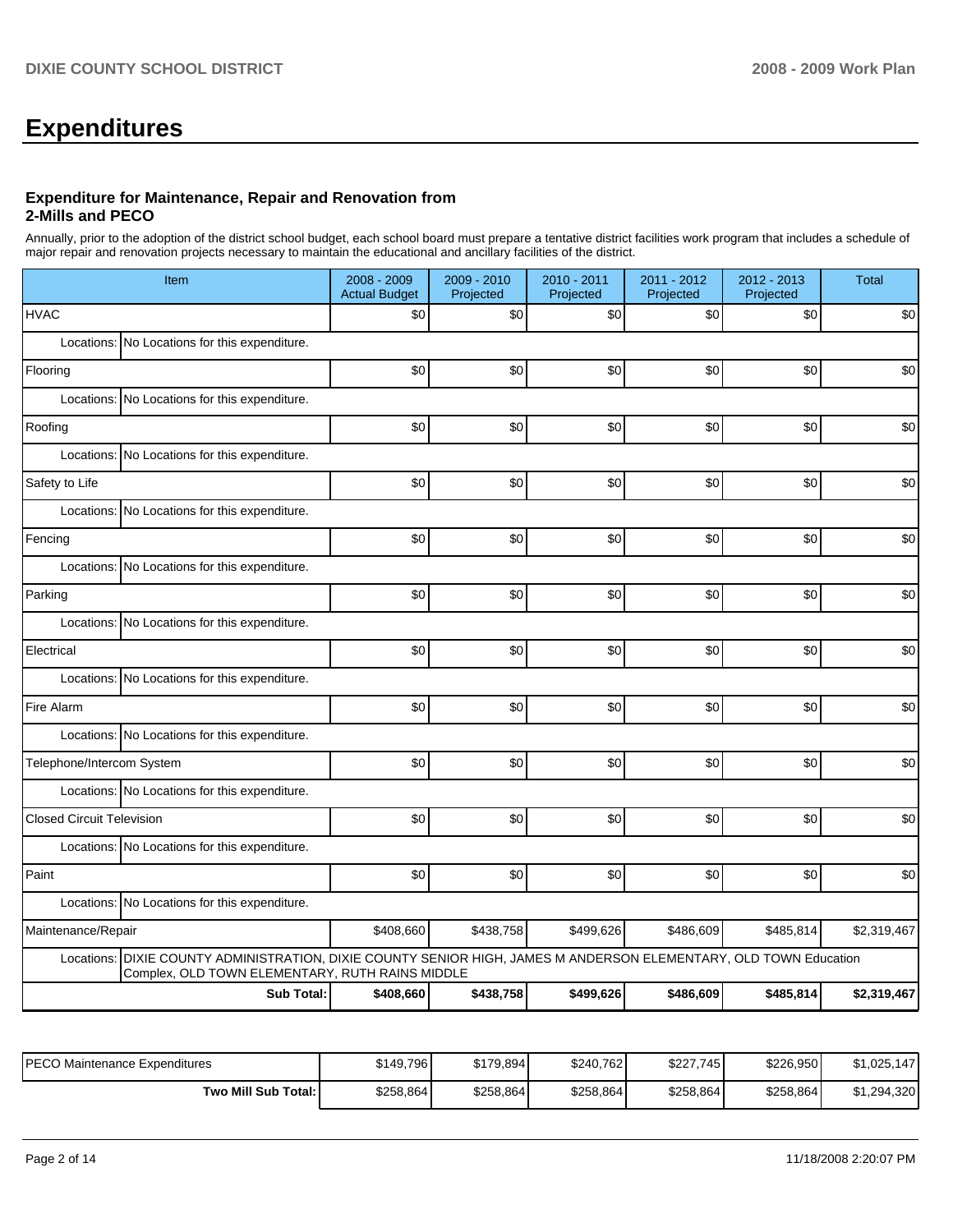# **Expenditures**

#### **Expenditure for Maintenance, Repair and Renovation from 2-Mills and PECO**

Annually, prior to the adoption of the district school budget, each school board must prepare a tentative district facilities work program that includes a schedule of major repair and renovation projects necessary to maintain the educational and ancillary facilities of the district.

|                                  | Item                                                                                                                                                      | 2008 - 2009<br><b>Actual Budget</b> | $2009 - 2010$<br>Projected | 2010 - 2011<br>Projected | 2011 - 2012<br>Projected | 2012 - 2013<br>Projected | <b>Total</b> |  |  |
|----------------------------------|-----------------------------------------------------------------------------------------------------------------------------------------------------------|-------------------------------------|----------------------------|--------------------------|--------------------------|--------------------------|--------------|--|--|
| <b>HVAC</b>                      |                                                                                                                                                           | \$0                                 | \$0                        | \$0                      | \$0                      | \$0                      | \$0          |  |  |
|                                  | Locations: No Locations for this expenditure.                                                                                                             |                                     |                            |                          |                          |                          |              |  |  |
| Flooring                         |                                                                                                                                                           | \$0                                 | \$0                        | \$0                      | \$0                      | \$0                      | \$0          |  |  |
|                                  | Locations: No Locations for this expenditure.                                                                                                             |                                     |                            |                          |                          |                          |              |  |  |
| Roofing                          |                                                                                                                                                           | \$0                                 | \$0                        | \$0                      | \$0                      | \$0                      | \$0          |  |  |
|                                  | Locations: No Locations for this expenditure.                                                                                                             |                                     |                            |                          |                          |                          |              |  |  |
| Safety to Life                   |                                                                                                                                                           | \$0                                 | \$0                        | \$0                      | \$0                      | \$0                      | \$0          |  |  |
|                                  | Locations: No Locations for this expenditure.                                                                                                             |                                     |                            |                          |                          |                          |              |  |  |
| Fencing                          |                                                                                                                                                           | \$0                                 | \$0                        | \$0                      | \$0                      | \$0                      | \$0          |  |  |
|                                  | Locations: No Locations for this expenditure.                                                                                                             |                                     |                            |                          |                          |                          |              |  |  |
| Parking                          |                                                                                                                                                           | \$0                                 | \$0                        | \$0                      | \$0                      | \$0                      | \$0          |  |  |
|                                  | Locations: No Locations for this expenditure.                                                                                                             |                                     |                            |                          |                          |                          |              |  |  |
| Electrical                       |                                                                                                                                                           | \$0                                 | \$0                        | \$0                      | \$0                      | \$0                      | \$0          |  |  |
|                                  | Locations: No Locations for this expenditure.                                                                                                             |                                     |                            |                          |                          |                          |              |  |  |
| Fire Alarm                       |                                                                                                                                                           | \$0                                 | \$0                        | \$0                      | \$0                      | \$0                      | \$0          |  |  |
|                                  | Locations: No Locations for this expenditure.                                                                                                             |                                     |                            |                          |                          |                          |              |  |  |
| Telephone/Intercom System        |                                                                                                                                                           | \$0                                 | \$0                        | \$0                      | \$0                      | \$0                      | \$0          |  |  |
|                                  | Locations: No Locations for this expenditure.                                                                                                             |                                     |                            |                          |                          |                          |              |  |  |
| <b>Closed Circuit Television</b> |                                                                                                                                                           | \$0                                 | \$0                        | \$0                      | \$0                      | \$0                      | \$0          |  |  |
|                                  | Locations: No Locations for this expenditure.                                                                                                             |                                     |                            |                          |                          |                          |              |  |  |
| Paint                            |                                                                                                                                                           | \$0                                 | \$0                        | \$0                      | \$0                      | \$0                      | \$0          |  |  |
|                                  | Locations: No Locations for this expenditure.                                                                                                             |                                     |                            |                          |                          |                          |              |  |  |
| Maintenance/Repair               |                                                                                                                                                           | \$408,660                           | \$438,758                  | \$499,626                | \$486,609                | \$485,814                | \$2,319,467  |  |  |
| Locations:                       | DIXIE COUNTY ADMINISTRATION, DIXIE COUNTY SENIOR HIGH, JAMES M ANDERSON ELEMENTARY, OLD TOWN Education<br>Complex, OLD TOWN ELEMENTARY, RUTH RAINS MIDDLE |                                     |                            |                          |                          |                          |              |  |  |
|                                  | <b>Sub Total:</b><br>\$408,660<br>\$438,758<br>\$499,626<br>\$486,609<br>\$485,814<br>\$2,319,467                                                         |                                     |                            |                          |                          |                          |              |  |  |

| IPECO Maintenance Expenditures | \$149.796 | \$179,894 | \$240,762 | \$227.745 | \$226.950 | \$1.025.147 |
|--------------------------------|-----------|-----------|-----------|-----------|-----------|-------------|
| Two Mill Sub Total:            | \$258,864 | \$258,864 | \$258,864 | \$258,864 | \$258,864 | \$1,294,320 |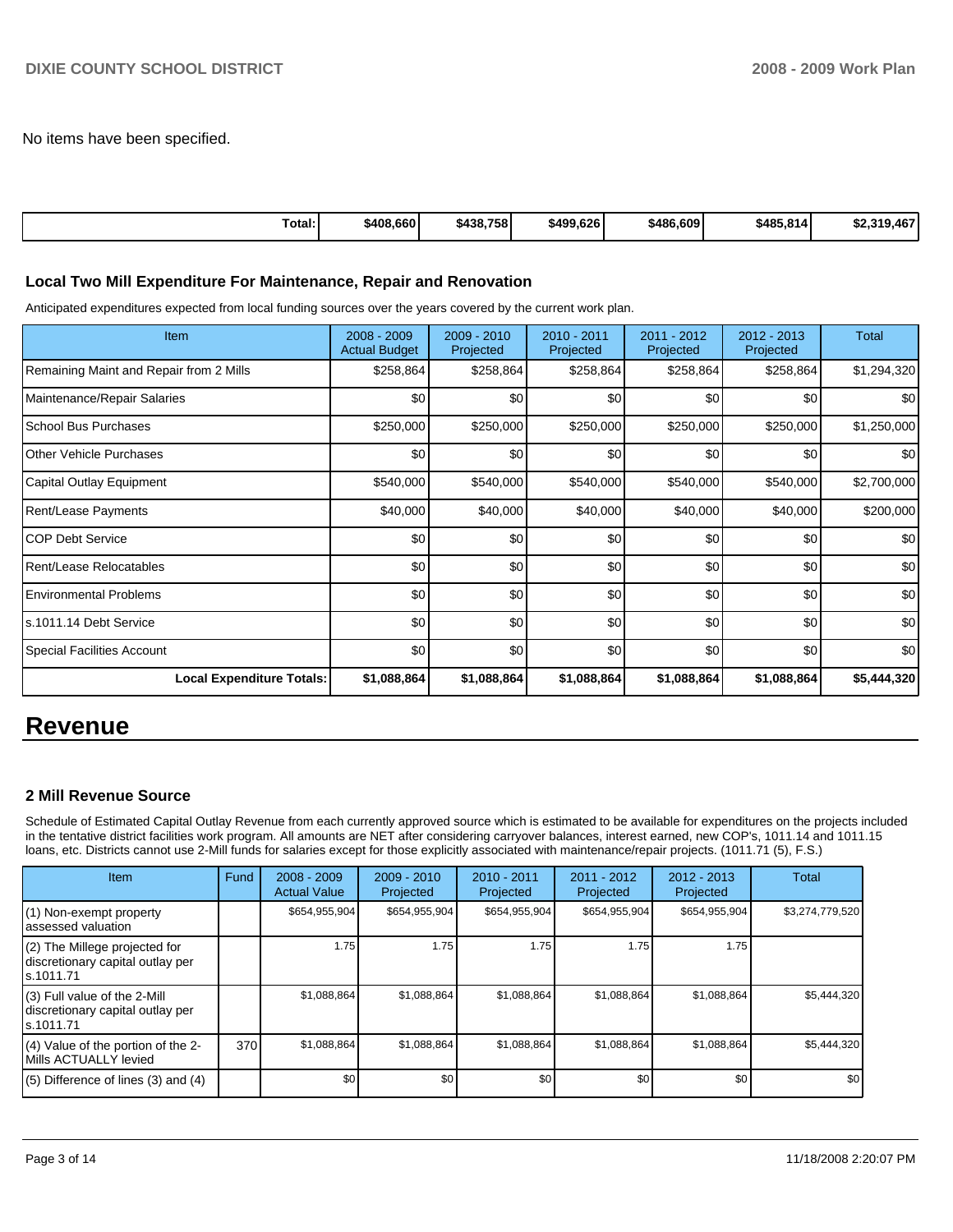No items have been specified.

| Total: | \$408,660 | \$438,758 | \$499.626 | \$486,609 | \$485,814] | .9.467<br><b>¢220</b><br>J∠,J |
|--------|-----------|-----------|-----------|-----------|------------|-------------------------------|

## **Local Two Mill Expenditure For Maintenance, Repair and Renovation**

Anticipated expenditures expected from local funding sources over the years covered by the current work plan.

| Item                                    | $2008 - 2009$<br><b>Actual Budget</b> | $2009 - 2010$<br>Projected | $2010 - 2011$<br>Projected | $2011 - 2012$<br>Projected | $2012 - 2013$<br>Projected | Total       |
|-----------------------------------------|---------------------------------------|----------------------------|----------------------------|----------------------------|----------------------------|-------------|
| Remaining Maint and Repair from 2 Mills | \$258,864                             | \$258,864                  | \$258,864                  | \$258,864                  | \$258,864                  | \$1,294,320 |
| Maintenance/Repair Salaries             | \$0                                   | \$0                        | \$0                        | \$0                        | \$0                        | \$0         |
| School Bus Purchases                    | \$250,000                             | \$250,000                  | \$250,000                  | \$250,000                  | \$250,000                  | \$1,250,000 |
| Other Vehicle Purchases                 | \$0                                   | \$0                        | \$0                        | \$0                        | \$0                        | \$0         |
| Capital Outlay Equipment                | \$540,000                             | \$540,000                  | \$540,000                  | \$540,000                  | \$540,000                  | \$2,700,000 |
| <b>Rent/Lease Payments</b>              | \$40,000                              | \$40,000                   | \$40,000                   | \$40,000                   | \$40,000                   | \$200,000   |
| <b>COP Debt Service</b>                 | \$0                                   | \$0                        | \$0                        | \$0                        | \$0                        | \$0         |
| Rent/Lease Relocatables                 | \$0                                   | \$0                        | \$0                        | \$0                        | \$0                        | \$0         |
| <b>Environmental Problems</b>           | \$0                                   | \$0                        | \$0                        | \$0                        | \$0                        | \$0         |
| ls.1011.14 Debt Service                 | \$0                                   | \$0                        | \$0                        | \$0                        | \$0                        | \$0         |
| Special Facilities Account              | \$0                                   | \$0                        | \$0                        | \$0                        | \$0                        | \$0         |
| <b>Local Expenditure Totals:</b>        | \$1,088,864                           | \$1,088,864                | \$1,088,864                | \$1,088,864                | \$1,088,864                | \$5,444,320 |

## **Revenue**

## **2 Mill Revenue Source**

Schedule of Estimated Capital Outlay Revenue from each currently approved source which is estimated to be available for expenditures on the projects included in the tentative district facilities work program. All amounts are NET after considering carryover balances, interest earned, new COP's, 1011.14 and 1011.15 loans, etc. Districts cannot use 2-Mill funds for salaries except for those explicitly associated with maintenance/repair projects. (1011.71 (5), F.S.)

| Item                                                                              | Fund | $2008 - 2009$<br><b>Actual Value</b> | $2009 - 2010$<br>Projected | $2010 - 2011$<br>Projected | 2011 - 2012<br>Projected | 2012 - 2013<br>Projected | Total           |
|-----------------------------------------------------------------------------------|------|--------------------------------------|----------------------------|----------------------------|--------------------------|--------------------------|-----------------|
| (1) Non-exempt property<br>lassessed valuation                                    |      | \$654,955,904                        | \$654,955,904              | \$654,955,904              | \$654,955,904            | \$654,955,904            | \$3,274,779,520 |
| $(2)$ The Millege projected for<br>discretionary capital outlay per<br>ls.1011.71 |      | 1.75                                 | 1.75                       | 1.75                       | 1.75                     | 1.75                     |                 |
| $(3)$ Full value of the 2-Mill<br>discretionary capital outlay per<br>ls.1011.71  |      | \$1,088,864                          | \$1,088,864                | \$1,088,864                | \$1,088,864              | \$1,088,864              | \$5,444,320     |
| (4) Value of the portion of the 2-<br>Mills ACTUALLY levied                       | 370  | \$1,088,864                          | \$1,088,864                | \$1,088,864                | \$1,088,864              | \$1,088,864              | \$5,444,320     |
| $(5)$ Difference of lines $(3)$ and $(4)$                                         |      | \$0                                  | \$0                        | \$0                        | \$0                      | \$0                      | \$0             |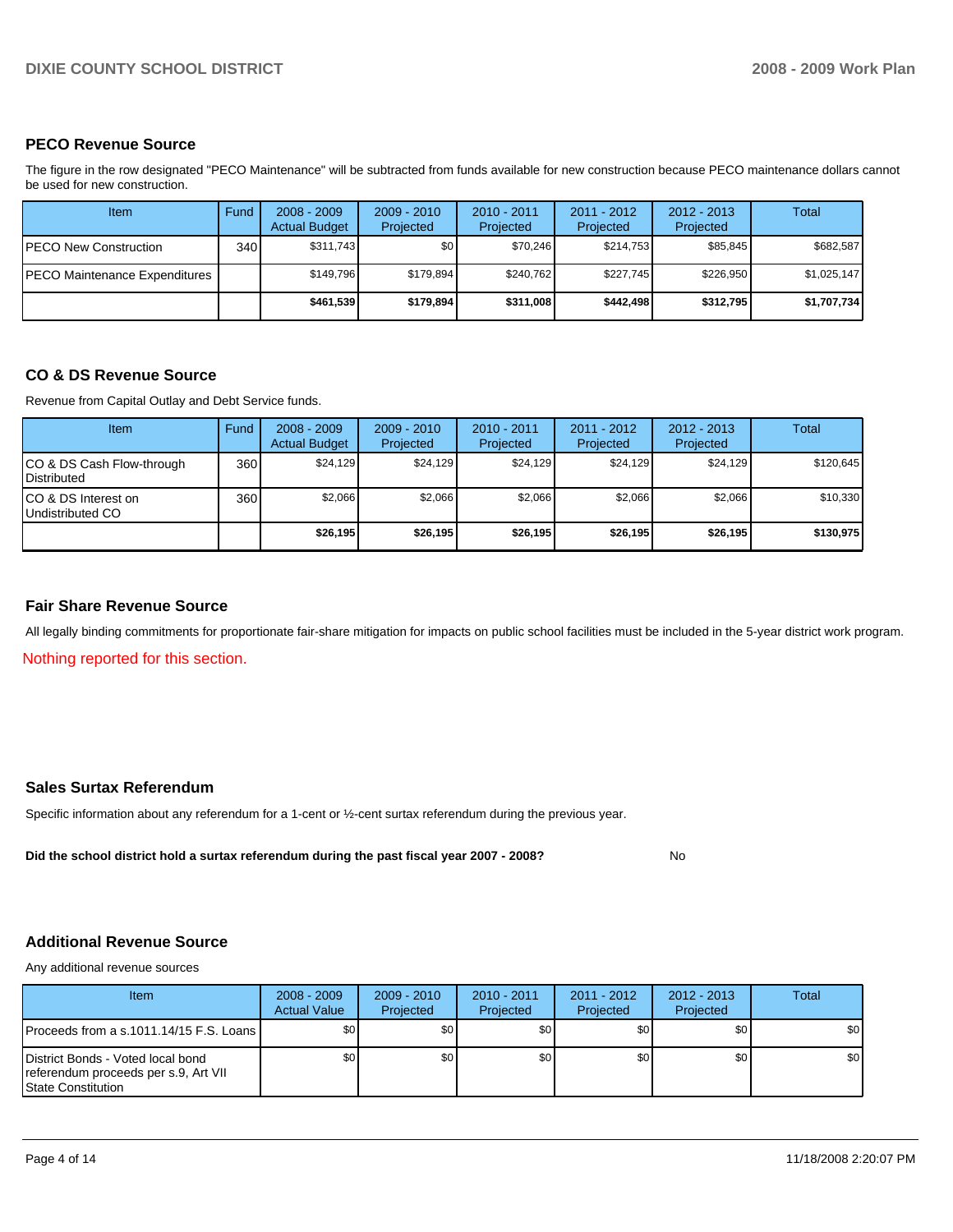## **PECO Revenue Source**

The figure in the row designated "PECO Maintenance" will be subtracted from funds available for new construction because PECO maintenance dollars cannot be used for new construction.

| Item                          | Fund  | $2008 - 2009$<br><b>Actual Budget</b> | $2009 - 2010$<br>Projected | $2010 - 2011$<br>Projected | 2011 - 2012<br>Projected | $2012 - 2013$<br>Projected | Total       |
|-------------------------------|-------|---------------------------------------|----------------------------|----------------------------|--------------------------|----------------------------|-------------|
| IPECO New Construction        | 340 l | \$311,743                             | \$0                        | \$70.246                   | \$214.753                | \$85,845                   | \$682,587   |
| PECO Maintenance Expenditures |       | \$149.796                             | \$179.894                  | \$240.762                  | \$227.745                | \$226,950                  | \$1,025,147 |
|                               |       | \$461,539                             | \$179,894                  | \$311,008                  | \$442,498                | \$312,795                  | \$1,707,734 |

#### **CO & DS Revenue Source**

Revenue from Capital Outlay and Debt Service funds.

| Item                                               | Fund | $2008 - 2009$<br><b>Actual Budget</b> | $2009 - 2010$<br>Projected | $2010 - 2011$<br>Projected | $2011 - 2012$<br>Projected | $2012 - 2013$<br>Projected | Total     |
|----------------------------------------------------|------|---------------------------------------|----------------------------|----------------------------|----------------------------|----------------------------|-----------|
| ICO & DS Cash Flow-through<br><b>I</b> Distributed | 360  | \$24,129                              | \$24,129                   | \$24.129                   | \$24.129                   | \$24,129                   | \$120,645 |
| ICO & DS Interest on<br>Undistributed CO           | 360  | \$2,066                               | \$2,066                    | \$2,066                    | \$2,066                    | \$2,066                    | \$10,330  |
|                                                    |      | \$26,195                              | \$26.195                   | \$26.195                   | \$26.195                   | \$26,195                   | \$130,975 |

#### **Fair Share Revenue Source**

All legally binding commitments for proportionate fair-share mitigation for impacts on public school facilities must be included in the 5-year district work program.

Nothing reported for this section.

#### **Sales Surtax Referendum**

Specific information about any referendum for a 1-cent or ½-cent surtax referendum during the previous year.

Did the school district hold a surtax referendum during the past fiscal year 2007 - 2008? No

## **Additional Revenue Source**

Any additional revenue sources

| <b>Item</b>                                                                                             | $2008 - 2009$<br><b>Actual Value</b> | $2009 - 2010$<br>Projected | $2010 - 2011$<br>Projected | $2011 - 2012$<br>Projected | $2012 - 2013$<br>Projected | Total |
|---------------------------------------------------------------------------------------------------------|--------------------------------------|----------------------------|----------------------------|----------------------------|----------------------------|-------|
| IProceeds from a s.1011.14/15 F.S. Loans I                                                              | \$0 <sub>1</sub>                     | \$0                        | \$0                        | \$0                        | \$0                        | \$0   |
| District Bonds - Voted local bond<br>referendum proceeds per s.9, Art VII<br><b>IState Constitution</b> | \$0 <sub>1</sub>                     | \$0                        | \$0                        | \$0 <sub>1</sub>           | \$0                        | \$0   |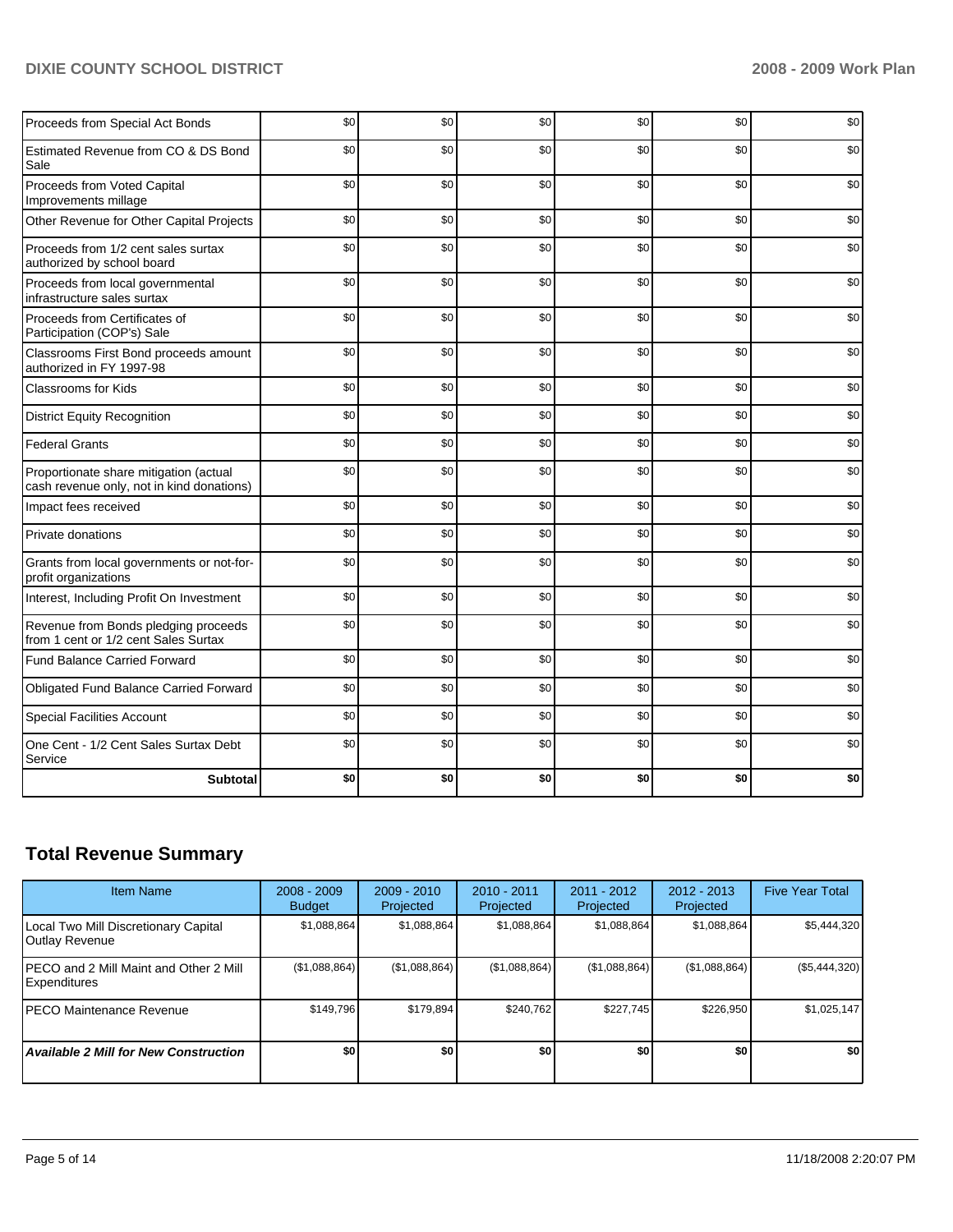| Proceeds from Special Act Bonds                                                     | \$0 | \$0 | \$0 | \$0 | \$0 | \$0 |
|-------------------------------------------------------------------------------------|-----|-----|-----|-----|-----|-----|
| Estimated Revenue from CO & DS Bond<br>Sale                                         | \$0 | \$0 | \$0 | \$0 | \$0 | \$0 |
| Proceeds from Voted Capital<br>Improvements millage                                 | \$0 | \$0 | \$0 | \$0 | \$0 | \$0 |
| Other Revenue for Other Capital Projects                                            | \$0 | \$0 | \$0 | \$0 | \$0 | \$0 |
| Proceeds from 1/2 cent sales surtax<br>authorized by school board                   | \$0 | \$0 | \$0 | \$0 | \$0 | \$0 |
| Proceeds from local governmental<br>infrastructure sales surtax                     | \$0 | \$0 | \$0 | \$0 | \$0 | \$0 |
| Proceeds from Certificates of<br>Participation (COP's) Sale                         | \$0 | \$0 | \$0 | \$0 | \$0 | \$0 |
| Classrooms First Bond proceeds amount<br>authorized in FY 1997-98                   | \$0 | \$0 | \$0 | \$0 | \$0 | \$0 |
| <b>Classrooms for Kids</b>                                                          | \$0 | \$0 | \$0 | \$0 | \$0 | \$0 |
| <b>District Equity Recognition</b>                                                  | \$0 | \$0 | \$0 | \$0 | \$0 | \$0 |
| <b>Federal Grants</b>                                                               | \$0 | \$0 | \$0 | \$0 | \$0 | \$0 |
| Proportionate share mitigation (actual<br>cash revenue only, not in kind donations) | \$0 | \$0 | \$0 | \$0 | \$0 | \$0 |
| Impact fees received                                                                | \$0 | \$0 | \$0 | \$0 | \$0 | \$0 |
| Private donations                                                                   | \$0 | \$0 | \$0 | \$0 | \$0 | \$0 |
| Grants from local governments or not-for-<br>profit organizations                   | \$0 | \$0 | \$0 | \$0 | \$0 | \$0 |
| Interest, Including Profit On Investment                                            | \$0 | \$0 | \$0 | \$0 | \$0 | \$0 |
| Revenue from Bonds pledging proceeds<br>from 1 cent or 1/2 cent Sales Surtax        | \$0 | \$0 | \$0 | \$0 | \$0 | \$0 |
| <b>Fund Balance Carried Forward</b>                                                 | \$0 | \$0 | \$0 | \$0 | \$0 | \$0 |
| Obligated Fund Balance Carried Forward                                              | \$0 | \$0 | \$0 | \$0 | \$0 | \$0 |
| <b>Special Facilities Account</b>                                                   | \$0 | \$0 | \$0 | \$0 | \$0 | \$0 |
| One Cent - 1/2 Cent Sales Surtax Debt<br>Service                                    | \$0 | \$0 | \$0 | \$0 | \$0 | \$0 |
| <b>Subtotal</b>                                                                     | \$0 | \$0 | \$0 | \$0 | \$0 | \$0 |

## **Total Revenue Summary**

| <b>Item Name</b>                                        | $2008 - 2009$<br><b>Budget</b> | $2009 - 2010$<br>Projected | $2010 - 2011$<br>Projected | 2011 - 2012<br>Projected | $2012 - 2013$<br>Projected | <b>Five Year Total</b> |
|---------------------------------------------------------|--------------------------------|----------------------------|----------------------------|--------------------------|----------------------------|------------------------|
| Local Two Mill Discretionary Capital<br>Outlay Revenue  | \$1,088,864                    | \$1,088,864                | \$1,088,864                | \$1,088,864              | \$1,088,864                | \$5,444,320            |
| IPECO and 2 Mill Maint and Other 2 Mill<br>Expenditures | (\$1,088,864)                  | (\$1,088,864)              | (\$1,088,864)              | (\$1,088,864)            | (\$1,088,864)              | $(\$5,444,320)$        |
| <b>IPECO Maintenance Revenue</b>                        | \$149.796                      | \$179,894                  | \$240.762                  | \$227.745                | \$226.950                  | \$1,025,147            |
| <b>Available 2 Mill for New Construction</b>            | \$0                            | \$0                        | \$0                        | \$0                      | \$0                        | \$0                    |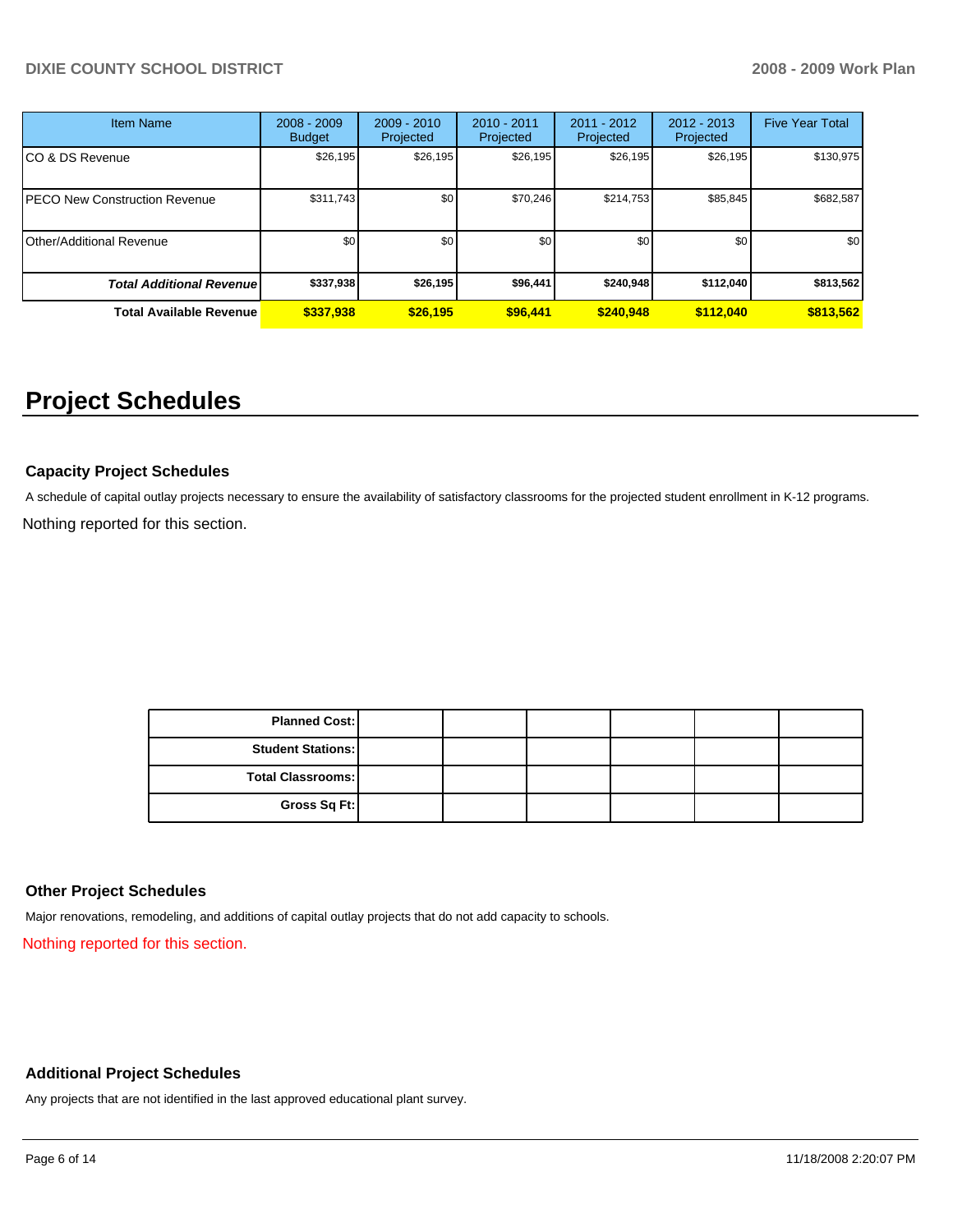## **DIXIE COUNTY SCHOOL DISTRICT 2008 - 2009 Work Plan**

| <b>Item Name</b>                     | $2008 - 2009$<br><b>Budget</b> | $2009 - 2010$<br>Projected | $2010 - 2011$<br>Projected | $2011 - 2012$<br>Projected | $2012 - 2013$<br>Projected | <b>Five Year Total</b> |
|--------------------------------------|--------------------------------|----------------------------|----------------------------|----------------------------|----------------------------|------------------------|
| CO & DS Revenue                      | \$26,195                       | \$26,195                   | \$26,195                   | \$26,195                   | \$26,195                   | \$130,975              |
| <b>PECO New Construction Revenue</b> | \$311,743                      | \$0                        | \$70,246                   | \$214,753                  | \$85,845                   | \$682,587              |
| Other/Additional Revenue             | \$0                            | \$0                        | \$0                        | \$0                        | \$0                        | \$0                    |
| <b>Total Additional Revenuel</b>     | \$337,938                      | \$26,195                   | \$96,441                   | \$240,948                  | \$112,040                  | \$813,562              |
| <b>Total Available Revenue</b>       | \$337,938                      | \$26,195                   | \$96,441                   | \$240,948                  | \$112,040                  | \$813,562              |

# **Project Schedules**

## **Capacity Project Schedules**

A schedule of capital outlay projects necessary to ensure the availability of satisfactory classrooms for the projected student enrollment in K-12 programs. Nothing reported for this section.

> **Planned Cost: Student Stations: Total Classrooms: Gross Sq Ft:**

## **Other Project Schedules**

Major renovations, remodeling, and additions of capital outlay projects that do not add capacity to schools.

Nothing reported for this section.

#### **Additional Project Schedules**

Any projects that are not identified in the last approved educational plant survey.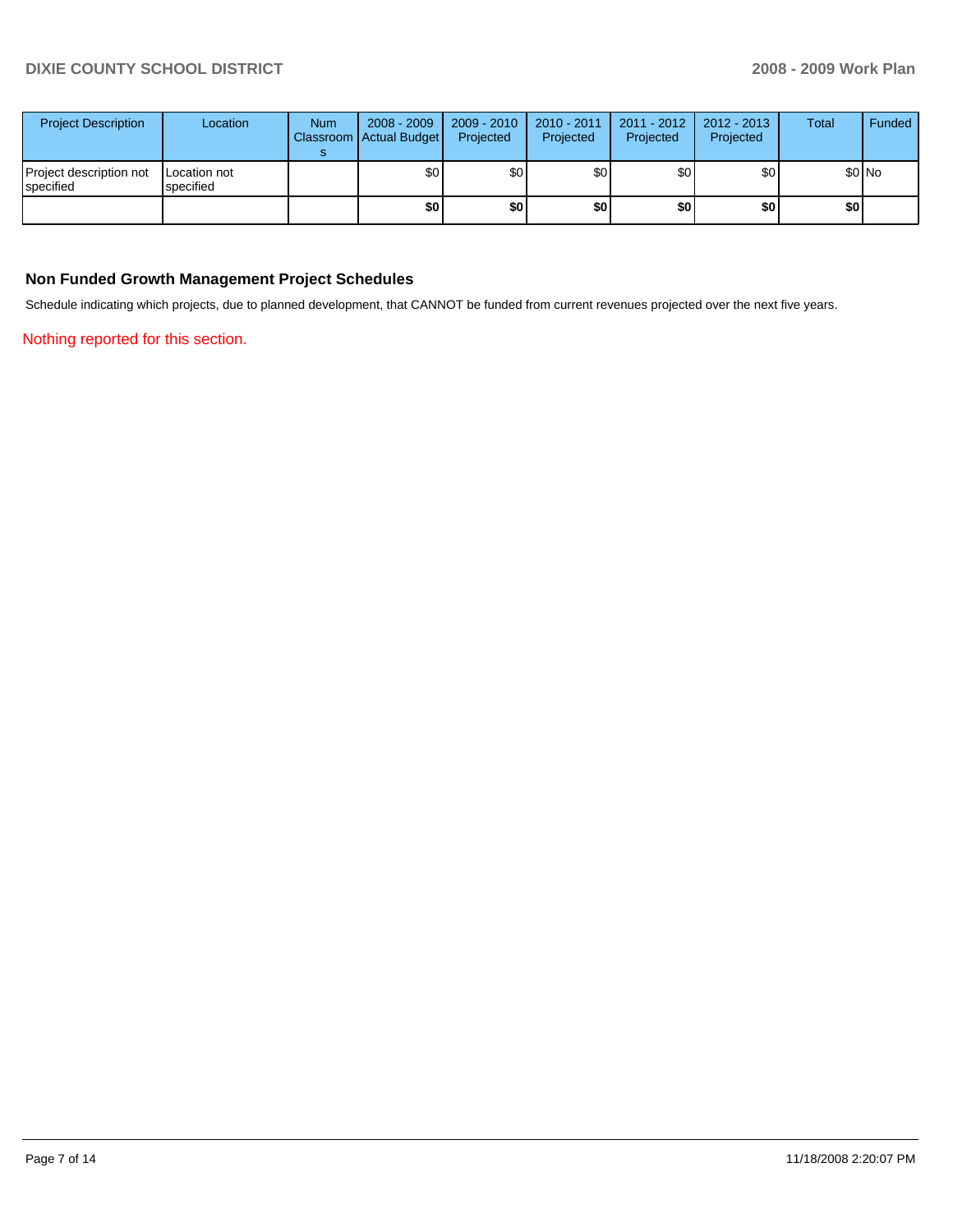| <b>Project Description</b>           | Location                  | <b>Num</b> | 2008 - 2009<br>Classroom Actual Budget | 2009 - 2010<br>Projected | 2010 - 2011<br>Projected | $2011 - 2012$<br>Projected | $2012 - 2013$<br>Projected | <b>Total</b> | Funded  |
|--------------------------------------|---------------------------|------------|----------------------------------------|--------------------------|--------------------------|----------------------------|----------------------------|--------------|---------|
| Project description not<br>specified | Location not<br>specified |            | \$0                                    | \$0                      | \$0                      | \$0 <sub>1</sub>           | \$0                        |              | $$0$ No |
|                                      |                           |            | \$0                                    | \$0                      | \$0                      | \$0                        | \$0                        | \$0          |         |

## **Non Funded Growth Management Project Schedules**

Schedule indicating which projects, due to planned development, that CANNOT be funded from current revenues projected over the next five years.

Nothing reported for this section.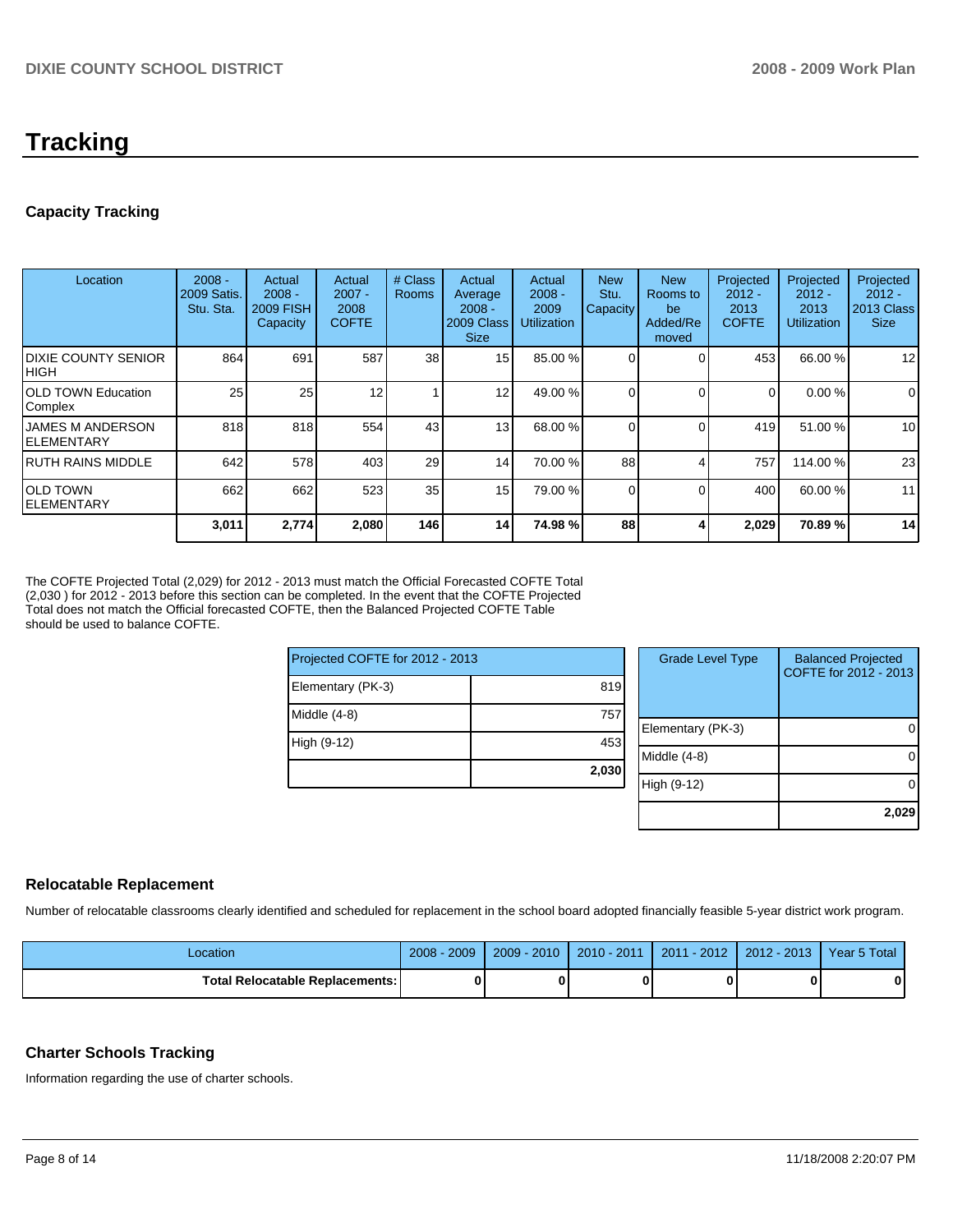## **Tracking**

## **Capacity Tracking**

| Location                                | $2008 -$<br>2009 Satis.<br>Stu. Sta. | Actual<br>$2008 -$<br><b>2009 FISH</b><br>Capacity | Actual<br>$2007 -$<br>2008<br><b>COFTE</b> | # Class<br><b>Rooms</b> | Actual<br>Average<br>$2008 -$<br>2009 Class<br><b>Size</b> | Actual<br>$2008 -$<br>2009<br><b>Utilization</b> | <b>New</b><br>Stu.<br>Capacity | <b>New</b><br>Rooms to<br>be<br>Added/Re<br>moved | Projected<br>$2012 -$<br>2013<br><b>COFTE</b> | Projected<br>$2012 -$<br>2013<br><b>Utilization</b> | Projected<br>$2012 -$<br>2013 Class<br><b>Size</b> |
|-----------------------------------------|--------------------------------------|----------------------------------------------------|--------------------------------------------|-------------------------|------------------------------------------------------------|--------------------------------------------------|--------------------------------|---------------------------------------------------|-----------------------------------------------|-----------------------------------------------------|----------------------------------------------------|
| <b>IDIXIE COUNTY SENIOR</b><br> HIGH    | 864                                  | 691                                                | 587                                        | 38                      | 15                                                         | 85.00 %                                          |                                | 0                                                 | 453                                           | 66.00 %                                             | 12                                                 |
| <b>IOLD TOWN Education</b><br>Complex   | 25                                   | 25                                                 | 12                                         |                         | 12                                                         | 49.00 %                                          |                                | $\Omega$                                          | $\Omega$                                      | 0.00%                                               | $\mathbf 0$                                        |
| <b>IJAMES M ANDERSON</b><br>IELEMENTARY | 818                                  | 818                                                | 554                                        | 43                      | 13                                                         | 68.00 %                                          |                                | $\Omega$                                          | 419                                           | 51.00 %                                             | 10                                                 |
| IRUTH RAINS MIDDLE                      | 642                                  | 578                                                | 403                                        | 29                      | 14                                                         | 70.00 %                                          | 88                             |                                                   | 757                                           | 114.00 %                                            | 23                                                 |
| IOLD TOWN<br>IELEMENTARY                | 662                                  | 662                                                | 523                                        | 35                      | 15                                                         | 79.00 %                                          |                                | $\Omega$                                          | 400                                           | 60.00 %                                             | 11                                                 |
|                                         | 3,011                                | 2,774                                              | 2,080                                      | 146                     | 14 <sup>1</sup>                                            | 74.98%                                           | 88                             |                                                   | 2,029                                         | 70.89 %                                             | 14                                                 |

The COFTE Projected Total (2,029) for 2012 - 2013 must match the Official Forecasted COFTE Total (2,030 ) for 2012 - 2013 before this section can be completed. In the event that the COFTE Projected Total does not match the Official forecasted COFTE, then the Balanced Projected COFTE Table should be used to balance COFTE.

| Projected COFTE for 2012 - 2013 |       |        | Grad |
|---------------------------------|-------|--------|------|
| Elementary (PK-3)               | 819   |        |      |
| Middle (4-8)                    | 757   | Elemen |      |
| High (9-12)                     | 453   | Middle |      |
|                                 | 2,030 |        |      |
|                                 |       | High   | (9   |

| <b>Grade Level Type</b> | <b>Balanced Projected</b><br>COFTE for 2012 - 2013 |
|-------------------------|----------------------------------------------------|
| Elementary (PK-3)       |                                                    |
| Middle $(4-8)$          |                                                    |
| High (9-12)             |                                                    |
|                         | 2,029                                              |

## **Relocatable Replacement**

Number of relocatable classrooms clearly identified and scheduled for replacement in the school board adopted financially feasible 5-year district work program.

| Location                          | 2009<br>2008 | $-2010$<br>2009 | 2010 - 2011 | i - 2012<br>2011 | 2012 - 2013 | Year 5 Total |
|-----------------------------------|--------------|-----------------|-------------|------------------|-------------|--------------|
| Total Relocatable Replacements: I |              |                 | 0           |                  |             |              |

## **Charter Schools Tracking**

Information regarding the use of charter schools.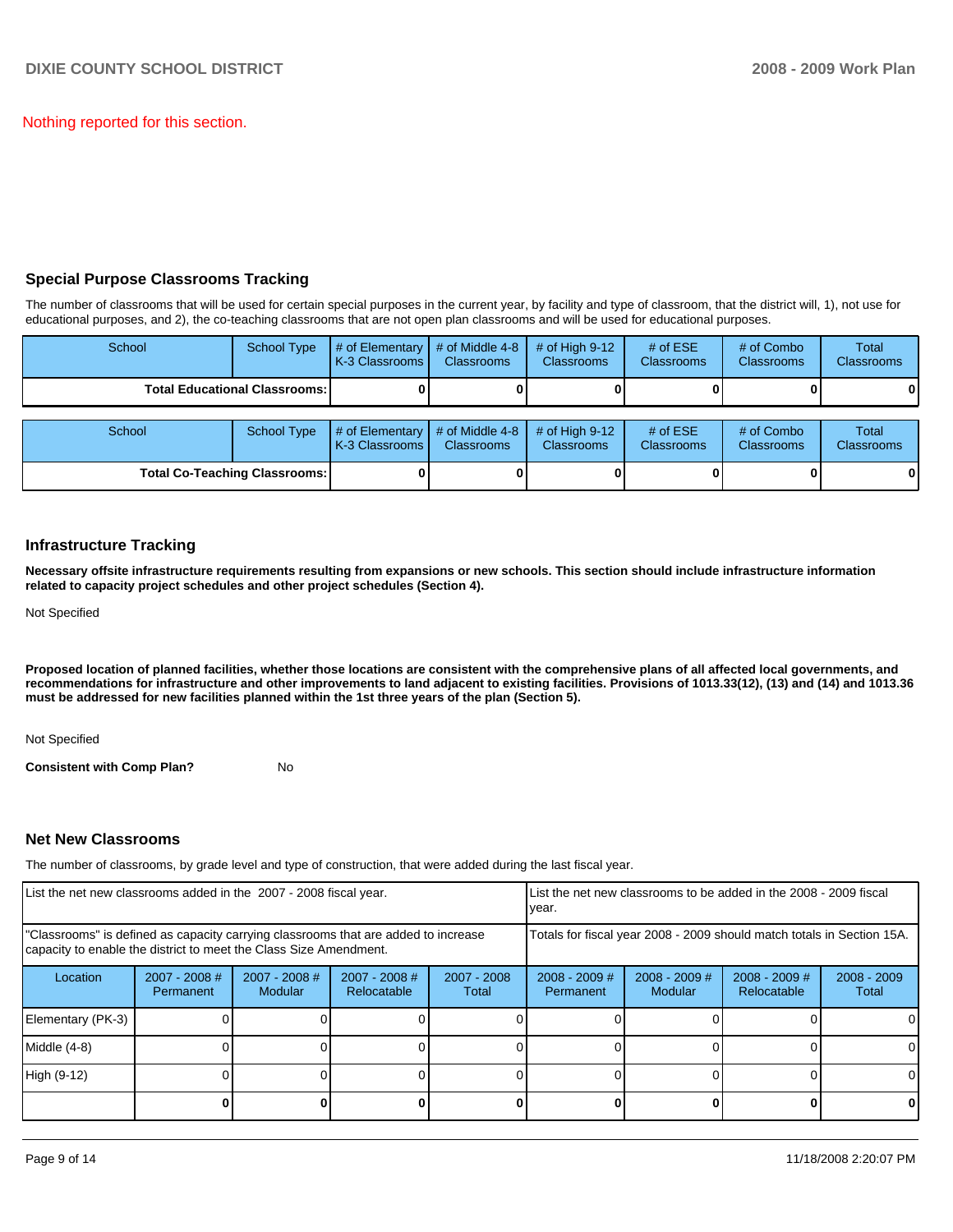Nothing reported for this section.

## **Special Purpose Classrooms Tracking**

The number of classrooms that will be used for certain special purposes in the current year, by facility and type of classroom, that the district will, 1), not use for educational purposes, and 2), the co-teaching classrooms that are not open plan classrooms and will be used for educational purposes.

| School                               | <b>School Type</b> | # of Elementary<br>K-3 Classrooms | # of Middle 4-8<br><b>Classrooms</b> | $#$ of High 9-12<br><b>Classrooms</b> | # of $ESE$<br><b>Classrooms</b> | # of Combo<br><b>Classrooms</b> | <b>Total</b><br><b>Classrooms</b> |
|--------------------------------------|--------------------|-----------------------------------|--------------------------------------|---------------------------------------|---------------------------------|---------------------------------|-----------------------------------|
| <b>Total Educational Classrooms:</b> |                    |                                   |                                      |                                       |                                 |                                 | 01                                |
|                                      |                    |                                   |                                      |                                       |                                 |                                 |                                   |
| School                               | <b>School Type</b> | # of Elementary<br>K-3 Classrooms | # of Middle 4-8<br><b>Classrooms</b> | $#$ of High 9-12<br><b>Classrooms</b> | # of $ESE$<br>Classrooms        | # of Combo<br><b>Classrooms</b> | Total<br><b>Classrooms</b>        |
| <b>Total Co-Teaching Classrooms:</b> |                    |                                   |                                      |                                       |                                 |                                 | 01                                |

## **Infrastructure Tracking**

**Necessary offsite infrastructure requirements resulting from expansions or new schools. This section should include infrastructure information related to capacity project schedules and other project schedules (Section 4).** 

Not Specified

**Proposed location of planned facilities, whether those locations are consistent with the comprehensive plans of all affected local governments, and recommendations for infrastructure and other improvements to land adjacent to existing facilities. Provisions of 1013.33(12), (13) and (14) and 1013.36 must be addressed for new facilities planned within the 1st three years of the plan (Section 5).** 

Not Specified

**Consistent with Comp Plan?** No

## **Net New Classrooms**

The number of classrooms, by grade level and type of construction, that were added during the last fiscal year.

| List the net new classrooms added in the 2007 - 2008 fiscal year.                                                                                       |                                     |                                 |                                |                      | List the net new classrooms to be added in the 2008 - 2009 fiscal<br>year. |                            |                                |                        |
|---------------------------------------------------------------------------------------------------------------------------------------------------------|-------------------------------------|---------------------------------|--------------------------------|----------------------|----------------------------------------------------------------------------|----------------------------|--------------------------------|------------------------|
| "Classrooms" is defined as capacity carrying classrooms that are added to increase<br>capacity to enable the district to meet the Class Size Amendment. |                                     |                                 |                                |                      | Totals for fiscal year 2008 - 2009 should match totals in Section 15A.     |                            |                                |                        |
| Location                                                                                                                                                | $2007 - 2008$ #<br><b>Permanent</b> | 2007 - 2008 #<br><b>Modular</b> | $2007 - 2008$ #<br>Relocatable | 2007 - 2008<br>Total | $2008 - 2009$ #<br>Permanent                                               | $2008 - 2009$ #<br>Modular | $2008 - 2009$ #<br>Relocatable | $2008 - 2009$<br>Total |
| Elementary (PK-3)                                                                                                                                       |                                     |                                 |                                |                      |                                                                            |                            |                                | 0                      |
| Middle (4-8)                                                                                                                                            |                                     |                                 |                                |                      |                                                                            |                            |                                | 0                      |
| High (9-12)                                                                                                                                             |                                     |                                 |                                |                      |                                                                            |                            |                                | $\Omega$               |
|                                                                                                                                                         |                                     |                                 |                                |                      |                                                                            |                            |                                | 0                      |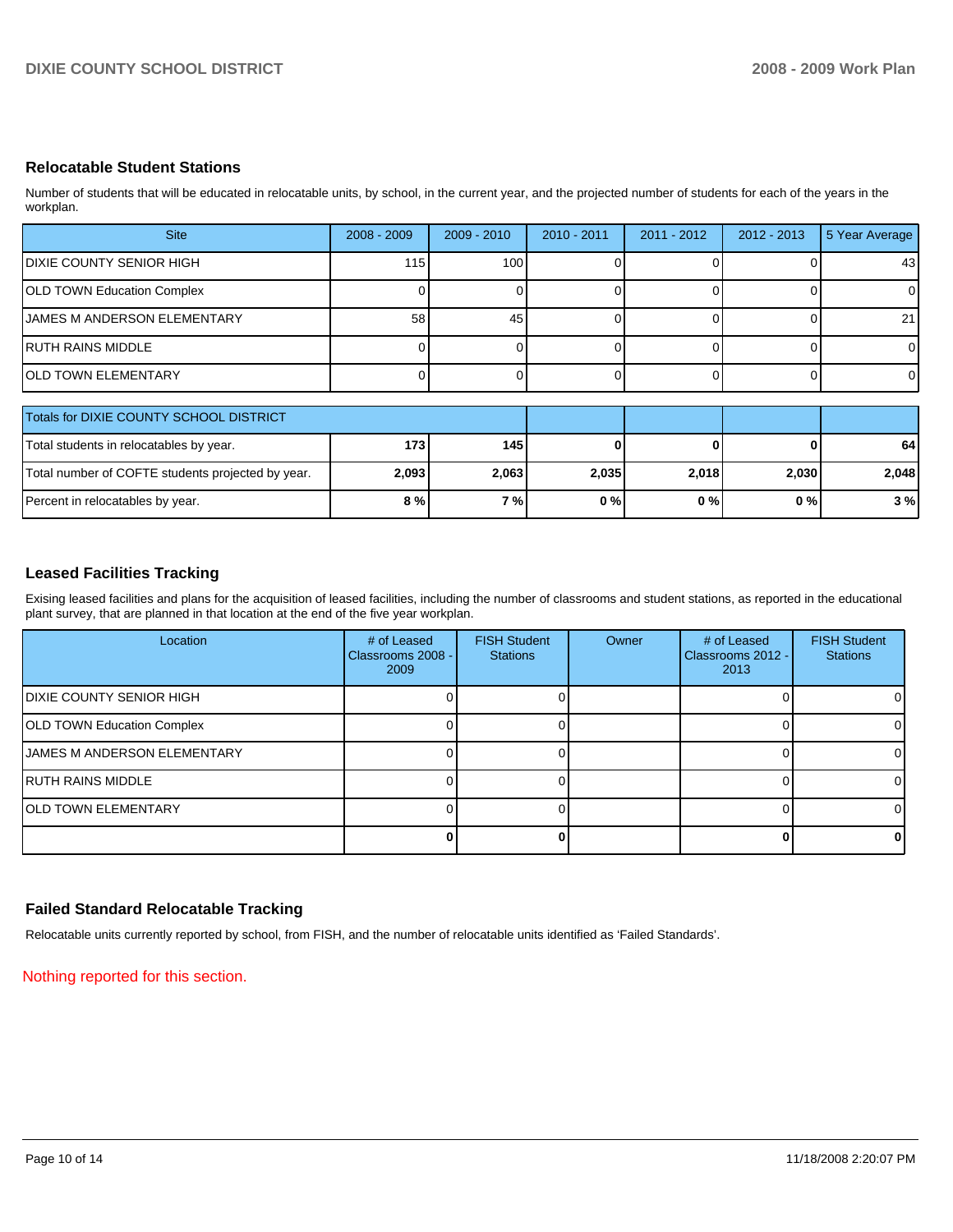## **Relocatable Student Stations**

Number of students that will be educated in relocatable units, by school, in the current year, and the projected number of students for each of the years in the workplan.

| <b>Site</b>                         | $2008 - 2009$ | $2009 - 2010$ | $2010 - 2011$ | $2011 - 2012$ | 2012 - 2013 | 5 Year Average |
|-------------------------------------|---------------|---------------|---------------|---------------|-------------|----------------|
| IDIXIE COUNTY SENIOR HIGH           | 115           | 100           |               |               |             | 43             |
| <b>OLD TOWN Education Complex</b>   |               |               |               |               |             | $\Omega$       |
| <b>IJAMES M ANDERSON ELEMENTARY</b> | 58            | 45            |               |               |             | 21             |
| RUTH RAINS MIDDLE                   |               |               |               |               |             | $\Omega$       |
| IOLD TOWN ELEMENTARY                |               |               |               |               |             | $\Omega$       |

| Totals for DIXIE COUNTY SCHOOL DISTRICT           |                  |       |       |       |       |       |
|---------------------------------------------------|------------------|-------|-------|-------|-------|-------|
| Total students in relocatables by year.           | 173 <sub>l</sub> | 145   |       |       |       | 64    |
| Total number of COFTE students projected by year. | 2,093            | 2,063 | 2,035 | 2,018 | 2,030 | 2,048 |
| Percent in relocatables by year.                  | 8 % l            | 7 % I | $0\%$ | 0%    | $0\%$ | 3%    |

## **Leased Facilities Tracking**

Exising leased facilities and plans for the acquisition of leased facilities, including the number of classrooms and student stations, as reported in the educational plant survey, that are planned in that location at the end of the five year workplan.

| Location                            | # of Leased<br>Classrooms 2008 -<br>2009 | <b>FISH Student</b><br><b>Stations</b> | Owner | # of Leased<br>Classrooms 2012 -<br>2013 | <b>FISH Student</b><br><b>Stations</b> |
|-------------------------------------|------------------------------------------|----------------------------------------|-------|------------------------------------------|----------------------------------------|
| <b>IDIXIE COUNTY SENIOR HIGH</b>    |                                          |                                        |       |                                          |                                        |
| <b>OLD TOWN Education Complex</b>   |                                          |                                        |       |                                          |                                        |
| <b>IJAMES M ANDERSON ELEMENTARY</b> |                                          |                                        |       |                                          |                                        |
| <b>RUTH RAINS MIDDLE</b>            |                                          |                                        |       |                                          |                                        |
| <b>JOLD TOWN ELEMENTARY</b>         |                                          |                                        |       |                                          |                                        |
|                                     |                                          |                                        |       |                                          |                                        |

## **Failed Standard Relocatable Tracking**

Relocatable units currently reported by school, from FISH, and the number of relocatable units identified as 'Failed Standards'.

Nothing reported for this section.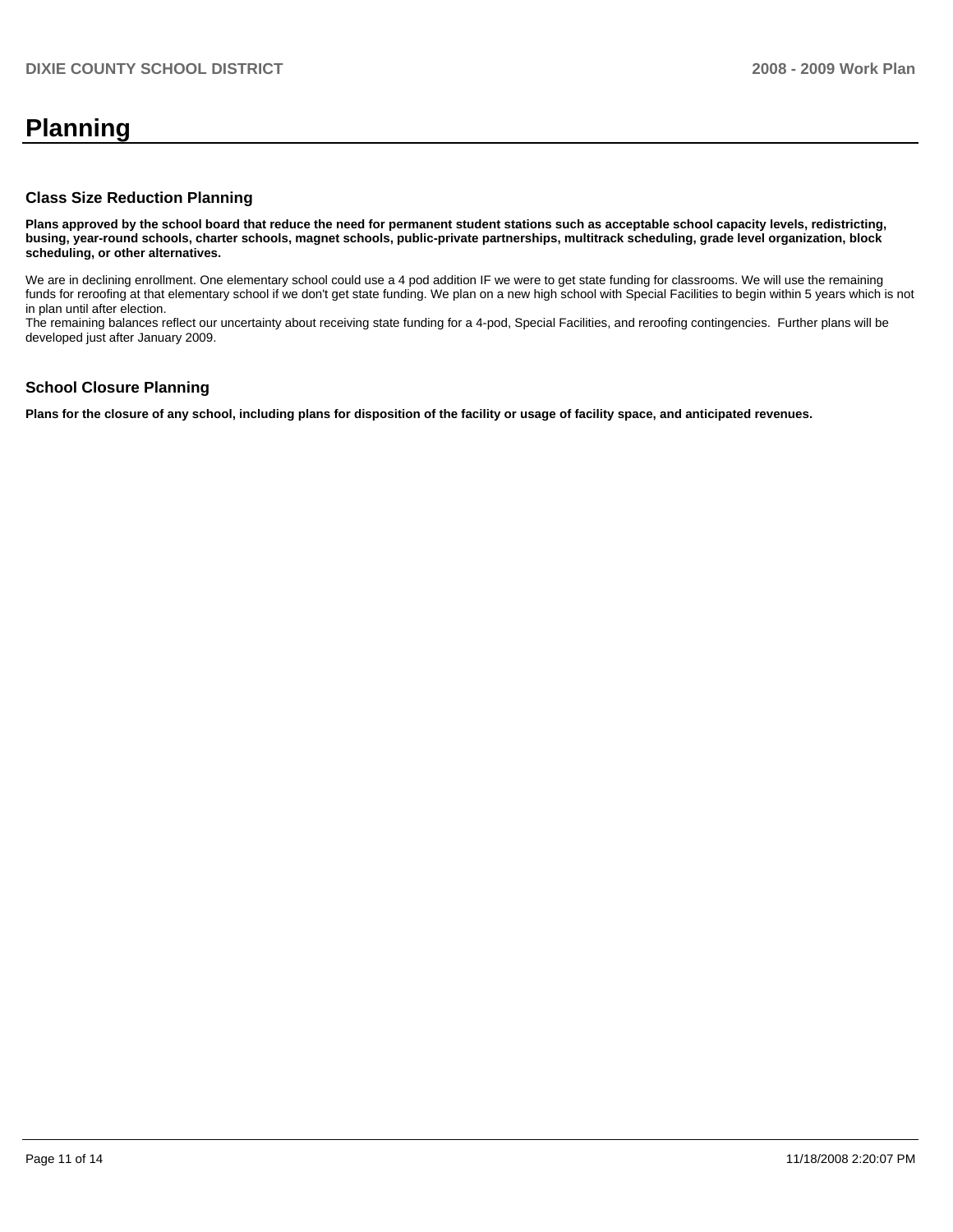## **Planning**

#### **Class Size Reduction Planning**

**Plans approved by the school board that reduce the need for permanent student stations such as acceptable school capacity levels, redistricting, busing, year-round schools, charter schools, magnet schools, public-private partnerships, multitrack scheduling, grade level organization, block scheduling, or other alternatives.** 

We are in declining enrollment. One elementary school could use a 4 pod addition IF we were to get state funding for classrooms. We will use the remaining funds for reroofing at that elementary school if we don't get state funding. We plan on a new high school with Special Facilities to begin within 5 years which is not in plan until after election.

The remaining balances reflect our uncertainty about receiving state funding for a 4-pod, Special Facilities, and reroofing contingencies. Further plans will be developed just after January 2009.

#### **School Closure Planning**

**Plans for the closure of any school, including plans for disposition of the facility or usage of facility space, and anticipated revenues.**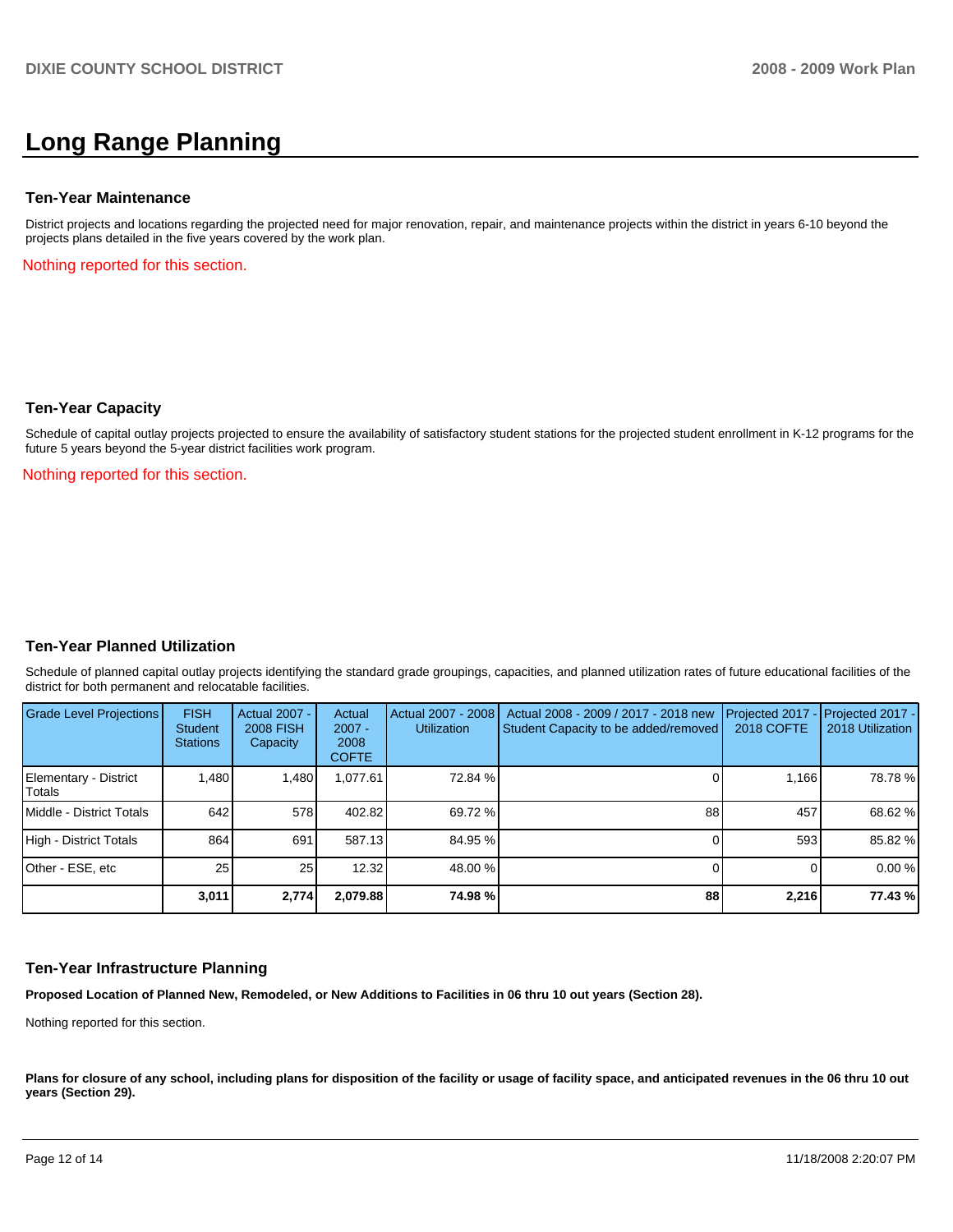## **Long Range Planning**

#### **Ten-Year Maintenance**

District projects and locations regarding the projected need for major renovation, repair, and maintenance projects within the district in years 6-10 beyond the projects plans detailed in the five years covered by the work plan.

Nothing reported for this section.

#### **Ten-Year Capacity**

Schedule of capital outlay projects projected to ensure the availability of satisfactory student stations for the projected student enrollment in K-12 programs for the future 5 years beyond the 5-year district facilities work program.

Nothing reported for this section.

#### **Ten-Year Planned Utilization**

Schedule of planned capital outlay projects identifying the standard grade groupings, capacities, and planned utilization rates of future educational facilities of the district for both permanent and relocatable facilities.

| Grade Level Projections         | <b>FISH</b><br>Student<br><b>Stations</b> | <b>Actual 2007 -</b><br><b>2008 FISH</b><br>Capacity | Actual<br>$2007 -$<br>2008<br><b>COFTE</b> | Actual 2007 - 2008<br><b>Utilization</b> | Actual 2008 - 2009 / 2017 - 2018 new<br>Student Capacity to be added/removed | Projected 2017<br><b>2018 COFTE</b> | Projected 2017 -<br>2018 Utilization |
|---------------------------------|-------------------------------------------|------------------------------------------------------|--------------------------------------------|------------------------------------------|------------------------------------------------------------------------------|-------------------------------------|--------------------------------------|
| Elementary - District<br>Totals | 1,480                                     | 1,480                                                | 61.077.61                                  | 72.84 %                                  |                                                                              | 1,166                               | 78.78%                               |
| Middle - District Totals        | 642                                       | 578                                                  | 402.82                                     | 69.72 %                                  | 88                                                                           | 457                                 | 68.62 %                              |
| High - District Totals          | 864                                       | 691                                                  | 587.13                                     | 84.95 %                                  |                                                                              | 593                                 | 85.82 %                              |
| Other - ESE, etc                | 25                                        | 25                                                   | 12.32                                      | 48.00 %                                  |                                                                              |                                     | 0.00%                                |
|                                 | 3,011                                     | 2,774                                                | 2.079.88                                   | 74.98 %                                  | 88                                                                           | 2,216                               | 77.43 %                              |

#### **Ten-Year Infrastructure Planning**

**Proposed Location of Planned New, Remodeled, or New Additions to Facilities in 06 thru 10 out years (Section 28).** 

Nothing reported for this section.

Plans for closure of any school, including plans for disposition of the facility or usage of facility space, and anticipated revenues in the 06 thru 10 out **years (Section 29).**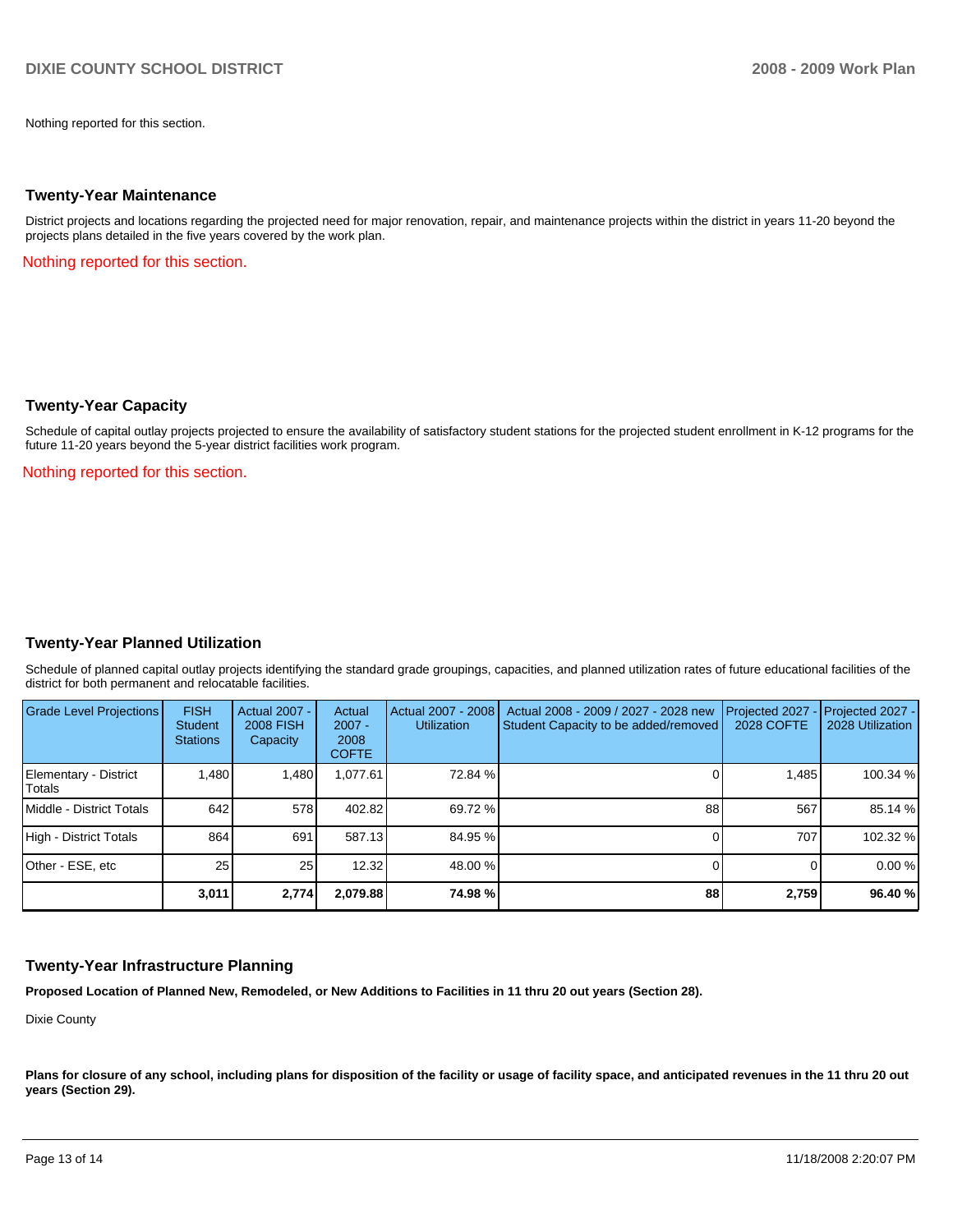Nothing reported for this section.

#### **Twenty-Year Maintenance**

District projects and locations regarding the projected need for major renovation, repair, and maintenance projects within the district in years 11-20 beyond the projects plans detailed in the five years covered by the work plan.

Nothing reported for this section.

#### **Twenty-Year Capacity**

Schedule of capital outlay projects projected to ensure the availability of satisfactory student stations for the projected student enrollment in K-12 programs for the future 11-20 years beyond the 5-year district facilities work program.

Nothing reported for this section.

## **Twenty-Year Planned Utilization**

Schedule of planned capital outlay projects identifying the standard grade groupings, capacities, and planned utilization rates of future educational facilities of the district for both permanent and relocatable facilities.

| <b>Grade Level Projections</b>  | <b>FISH</b><br><b>Student</b><br><b>Stations</b> | Actual 2007 -<br><b>2008 FISH</b><br>Capacity | Actual<br>$2007 -$<br>2008<br><b>COFTE</b> | Actual 2007 - 2008<br><b>Utilization</b> | Actual 2008 - 2009 / 2027 - 2028 new<br>Student Capacity to be added/removed | Projected 2027<br>2028 COFTE | $-$ Projected 2027 -<br>2028 Utilization |
|---------------------------------|--------------------------------------------------|-----------------------------------------------|--------------------------------------------|------------------------------------------|------------------------------------------------------------------------------|------------------------------|------------------------------------------|
| Elementary - District<br>Totals | ,480                                             | 1,480                                         | .077.61                                    | 72.84 %                                  |                                                                              | 1.485                        | 100.34 %                                 |
| Middle - District Totals        | 642                                              | 578                                           | 402.82                                     | 69.72 %                                  | 88                                                                           | 567                          | 85.14 %                                  |
| High - District Totals          | 864                                              | 691                                           | 587.13                                     | 84.95 %                                  |                                                                              | 707                          | 102.32 %                                 |
| Other - ESE, etc                | 25 <sub>1</sub>                                  | 25                                            | 12.32                                      | 48.00 %                                  |                                                                              |                              | 0.00%                                    |
|                                 | 3.011                                            | 2,774                                         | 2,079.88                                   | 74.98%                                   | 88                                                                           | 2,759                        | 96.40 %                                  |

#### **Twenty-Year Infrastructure Planning**

**Proposed Location of Planned New, Remodeled, or New Additions to Facilities in 11 thru 20 out years (Section 28).** 

Dixie County

Plans for closure of any school, including plans for disposition of the facility or usage of facility space, and anticipated revenues in the 11 thru 20 out **years (Section 29).**